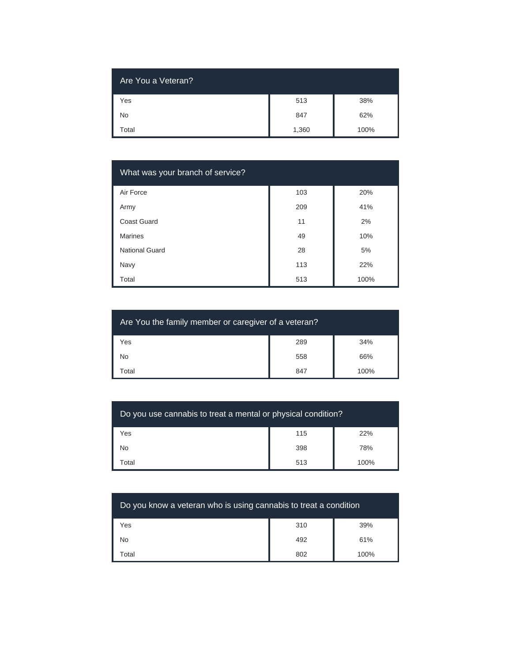| Are You a Veteran? |       |      |
|--------------------|-------|------|
| Yes                | 513   | 38%  |
| <b>No</b>          | 847   | 62%  |
| Total              | 1,360 | 100% |

| What was your branch of service? |     |      |
|----------------------------------|-----|------|
| Air Force                        | 103 | 20%  |
| Army                             | 209 | 41%  |
| Coast Guard                      | 11  | 2%   |
| <b>Marines</b>                   | 49  | 10%  |
| National Guard                   | 28  | 5%   |
| Navy                             | 113 | 22%  |
| Total                            | 513 | 100% |

| Are You the family member or caregiver of a veteran? |     |      |
|------------------------------------------------------|-----|------|
| Yes                                                  | 289 | 34%  |
| No                                                   | 558 | 66%  |
| Total                                                | 847 | 100% |

| Do you use cannabis to treat a mental or physical condition? |     |      |
|--------------------------------------------------------------|-----|------|
| Yes                                                          | 115 | 22%  |
| <b>No</b>                                                    | 398 | 78%  |
| Total                                                        | 513 | 100% |

| Do you know a veteran who is using cannabis to treat a condition |     |      |
|------------------------------------------------------------------|-----|------|
| Yes                                                              | 310 | 39%  |
| No                                                               | 492 | 61%  |
| Total                                                            | 802 | 100% |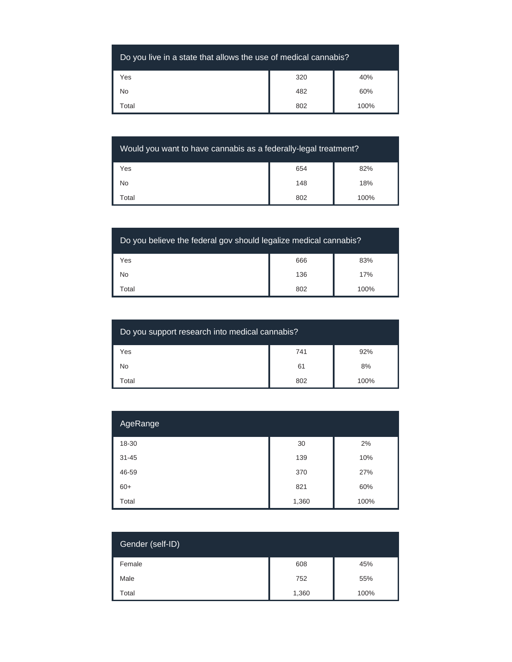| Do you live in a state that allows the use of medical cannabis? |     |      |
|-----------------------------------------------------------------|-----|------|
| Yes                                                             | 320 | 40%  |
| <b>No</b>                                                       | 482 | 60%  |
| Гоtal                                                           | 802 | 100% |

| Would you want to have cannabis as a federally-legal treatment? |     |      |
|-----------------------------------------------------------------|-----|------|
| Yes                                                             | 654 | 82%  |
| <b>No</b>                                                       | 148 | 18%  |
| Total                                                           | 802 | 100% |

| Do you believe the federal gov should legalize medical cannabis? |     |      |
|------------------------------------------------------------------|-----|------|
| Yes                                                              | 666 | 83%  |
| <b>No</b>                                                        | 136 | 17%  |
| Total                                                            | 802 | 100% |

| Do you support research into medical cannabis? |     |      |
|------------------------------------------------|-----|------|
| Yes                                            | 741 | 92%  |
| No                                             | 61  | 8%   |
| Total                                          | 802 | 100% |

| AgeRange  |       |      |
|-----------|-------|------|
| 18-30     | 30    | 2%   |
| $31 - 45$ | 139   | 10%  |
| 46-59     | 370   | 27%  |
| $60+$     | 821   | 60%  |
| Total     | 1,360 | 100% |

| Gender (self-ID) |       |      |
|------------------|-------|------|
| Female           | 608   | 45%  |
| Male             | 752   | 55%  |
| Total            | 1,360 | 100% |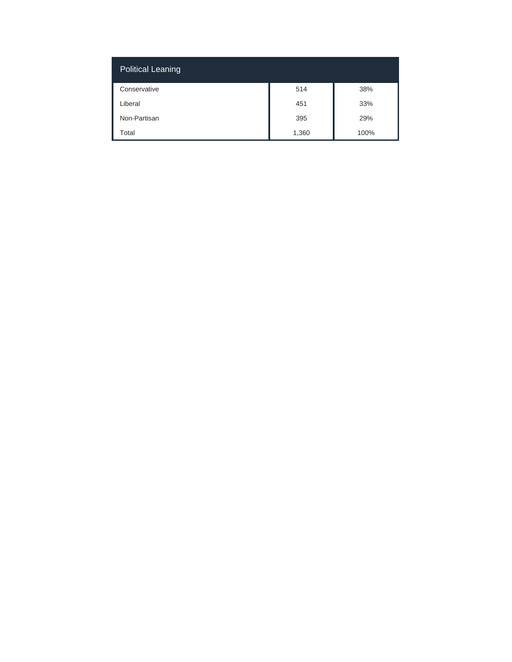| Political Leaning |       |      |
|-------------------|-------|------|
| Conservative      | 514   | 38%  |
| Liberal           | 451   | 33%  |
| Non-Partisan      | 395   | 29%  |
| Total             | 1,360 | 100% |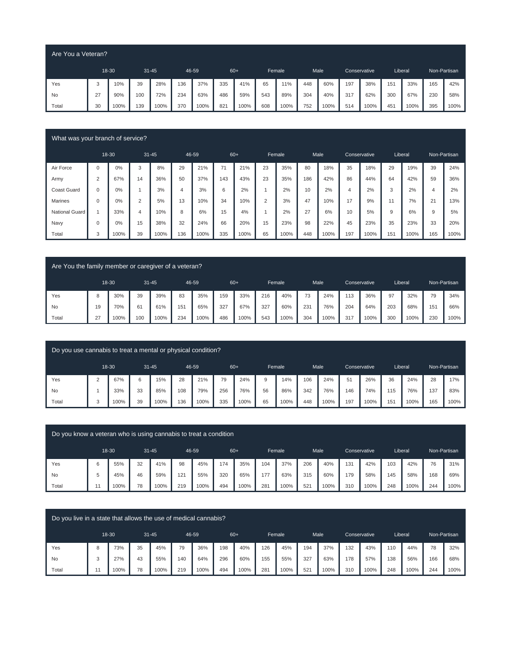| Are You a Veteran? |    |       |           |      |       |      |     |       |     |        |     |      |     |              |     |         |              |      |
|--------------------|----|-------|-----------|------|-------|------|-----|-------|-----|--------|-----|------|-----|--------------|-----|---------|--------------|------|
|                    |    | 18-30 | $31 - 45$ |      | 46-59 |      |     | $60+$ |     | Female |     | Male |     | Conservative |     | Liberal | Non-Partisan |      |
| Yes                | 3  | 10%   | 39        | 28%  | 136   | 37%  | 335 | 41%   | 65  | 11%    | 448 | 60%  | 197 | 38%          | 151 | 33%     | 165          | 42%  |
| <b>No</b>          | 27 | 90%   | 100       | 72%  | 234   | 63%  | 486 | 59%   | 543 | 89%    | 304 | 40%  | 317 | 62%          | 300 | 67%     | 230          | 58%  |
| Total              | 30 | 100%  | 139       | 100% | 370   | 100% | 821 | 100%  | 608 | 100%   | 752 | 100% | 514 | 100%         | 45' | 100%    | 395          | 100% |

| What was your branch of service? |             |       |                |           |                |       |     |       |                |        |     |      |                |              |     |         |     |              |
|----------------------------------|-------------|-------|----------------|-----------|----------------|-------|-----|-------|----------------|--------|-----|------|----------------|--------------|-----|---------|-----|--------------|
|                                  |             | 18-30 |                | $31 - 45$ |                | 46-59 |     | $60+$ |                | Female |     | Male |                | Conservative |     | Liberal |     | Non-Partisan |
| Air Force                        | $\Omega$    | $0\%$ | 3              | 8%        | 29             | 21%   | 71  | 21%   | 23             | 35%    | 80  | 18%  | 35             | 18%          | 29  | 19%     | 39  | 24%          |
| Army                             | 2           | 67%   | 14             | 36%       | 50             | 37%   | 143 | 43%   | 23             | 35%    | 186 | 42%  | 86             | 44%          | 64  | 42%     | 59  | 36%          |
| <b>Coast Guard</b>               | $\Omega$    | $0\%$ |                | 3%        | $\overline{4}$ | 3%    | 6   | 2%    |                | 2%     | 10  | 2%   | $\overline{4}$ | 2%           | 3   | 2%      | 4   | 2%           |
| Marines                          | $\Omega$    | $0\%$ | $\overline{2}$ | 5%        | 13             | 10%   | 34  | 10%   | $\overline{2}$ | 3%     | 47  | 10%  | 17             | 9%           | 11  | 7%      | 21  | 13%          |
| <b>National Guard</b>            |             | 33%   | 4              | 10%       | 8              | 6%    | 15  | 4%    |                | 2%     | 27  | 6%   | 10             | 5%           | 9   | 6%      | 9   | 5%           |
| Navy                             | $\mathbf 0$ | $0\%$ | 15             | 38%       | 32             | 24%   | 66  | 20%   | 15             | 23%    | 98  | 22%  | 45             | 23%          | 35  | 23%     | 33  | 20%          |
| Total                            | 3           | 100%  | 39             | 100%      | 136            | 100%  | 335 | 100%  | 65             | 100%   | 448 | 100% | 197            | 100%         | 151 | 100%    | 165 | 100%         |

| Are You the family member or caregiver of a veteran? |    |       |     |           |     |       |       |      |     |        |     |      |     |              |     |         |     |              |
|------------------------------------------------------|----|-------|-----|-----------|-----|-------|-------|------|-----|--------|-----|------|-----|--------------|-----|---------|-----|--------------|
|                                                      |    | 18-30 |     | $31 - 45$ |     | 46-59 | $60+$ |      |     | Female |     | Male |     | Conservative |     | Liberal |     | Non-Partisan |
| Yes                                                  |    | 30%   | 39  | 39%       | 83  | 35%   | 159   | 33%  | 216 | 40%    | 73  | 24%  | 113 | 36%          | 97  | 32%     | 79  | 34%          |
| No                                                   | 19 | 70%   | 61  | 61%       | 151 | 65%   | 327   | 67%  | 327 | 60%    | 231 | 76%  | 204 | 64%          | 203 | 68%     | 151 | 66%          |
| Total                                                | 27 | 100%  | 100 | 100%      | 234 | 100%  | 486   | 100% | 543 | 100%   | 304 | 100% | 317 | 100%         | 300 | 100%    | 230 | 100%         |

| Do you use cannabis to treat a mental or physical condition? |        |       |    |           |     |       |     |       |    |        |     |      |     |                     |         |      |     |              |
|--------------------------------------------------------------|--------|-------|----|-----------|-----|-------|-----|-------|----|--------|-----|------|-----|---------------------|---------|------|-----|--------------|
|                                                              |        | 18-30 |    | $31 - 45$ |     | 46-59 |     | $60+$ |    | Female |     | Male |     | <b>Conservative</b> | Liberal |      |     | Non-Partisan |
| Yes                                                          | $\sim$ | 67%   | 6  | 15%       | 28  | 21%   | 79  | 24%   | 9  | 14%    | 106 | 24%  | 51  | 26%                 | 36      | 24%  | 28  | 17%          |
| <b>No</b>                                                    |        | 33%   | 33 | 85%       | 108 | 79%   | 256 | 76%   | 56 | 86%    | 342 | 76%  | 146 | 74%                 | 115     | 76%  | 137 | 83%          |
| Total                                                        | ت      | 100%  | 39 | 100%      | 136 | 100%  | 335 | 100%  | 65 | 100%   | 448 | 100% | 197 | 100%                | 151     | 100% | 165 | 100%         |

| Do you know a veteran who is using cannabis to treat a condition |    |       |    |           |       |      |       |      |     |        |                 |      |     |              |     |         |     |              |
|------------------------------------------------------------------|----|-------|----|-----------|-------|------|-------|------|-----|--------|-----------------|------|-----|--------------|-----|---------|-----|--------------|
|                                                                  |    | 18-30 |    | $31 - 45$ | 46-59 |      | $60+$ |      |     | Female |                 | Male |     | Conservative |     | Liberal |     | Non-Partisan |
| Yes                                                              | 6  | 55%   | 32 | 41%       | 98    | 45%  | 174   | 35%  | 104 | 37%    | 206             | 40%  | 131 | 42%          | 103 | 42%     | 76  | 31%          |
| <b>No</b>                                                        | 5  | 45%   | 46 | 59%       | 121   | 55%  | 320   | 65%  | 177 | 63%    | 315             | 60%  | 179 | 58%          | 145 | 58%     | 168 | 69%          |
| Total                                                            | 11 | 100%  | 78 | 100%      | 219   | 100% | 494   | 100% | 281 | 100%   | 52 <sup>1</sup> | 100% | 310 | 100%         | 248 | 100%    | 244 | 100%         |

| Do you live in a state that allows the use of medical cannabis? |       |    |           |     |       |       |      |     |        |     |      |     |              |     |         |     |              |
|-----------------------------------------------------------------|-------|----|-----------|-----|-------|-------|------|-----|--------|-----|------|-----|--------------|-----|---------|-----|--------------|
|                                                                 | 18-30 |    | $31 - 45$ |     | 46-59 | $60+$ |      |     | Female |     | Male |     | Conservative |     | Liberal |     | Non-Partisan |
| Yes                                                             | 73%   | 35 | 45%       | 79  | 36%   | 198   | 40%  | 126 | 45%    | 194 | 37%  | 132 | 43%          | 110 | 44%     | 78  | 32%          |
| <b>No</b>                                                       | 27%   | 43 | 55%       | 140 | 64%   | 296   | 60%  | 155 | 55%    | 327 | 63%  | 178 | 57%          | 138 | 56%     | 166 | 68%          |
| Total                                                           | 100%  | 78 | 100%      | 219 | 100%  | 494   | 100% | 281 | 100%   | 521 | 100% | 310 | 100%         | 248 | 100%    | 244 | 100%         |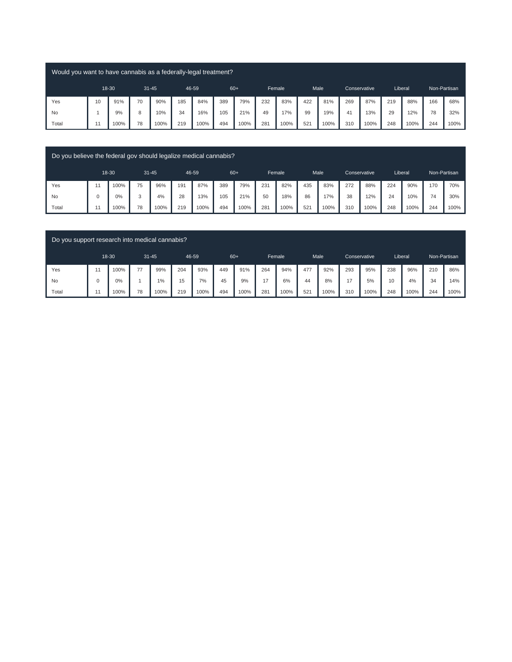| Would you want to have cannabis as a federally-legal treatment? |    |       |           |      |     |       |       |      |     |        |     |      |     |              |         |      |              |      |
|-----------------------------------------------------------------|----|-------|-----------|------|-----|-------|-------|------|-----|--------|-----|------|-----|--------------|---------|------|--------------|------|
|                                                                 |    | 18-30 | $31 - 45$ |      |     | 46-59 | $60+$ |      |     | Female |     | Male |     | Conservative | Liberal |      | Non-Partisan |      |
| Yes                                                             | 10 | 91%   | 70        | 90%  | 185 | 84%   | 389   | 79%  | 232 | 83%    | 422 | 81%  | 269 | 87%          | 219     | 88%  | 166          | 68%  |
| No                                                              |    | 9%    | 8         | 10%  | 34  | 16%   | 105   | 21%  | 49  | 17%    | 99  | 19%  | 41  | 13%          | 29      | 12%  | 78           | 32%  |
| Total                                                           |    | 100%  | 78        | 100% | 219 | 100%  | 494   | 100% | 281 | 100%   | 521 | 100% | 310 | 100%         | 248     | 100% | 244          | 100% |

| Do you believe the federal gov should legalize medical cannabis? |    |       |           |      |     |       |     |       |     |        |     |      |     |                     |     |         |     |              |
|------------------------------------------------------------------|----|-------|-----------|------|-----|-------|-----|-------|-----|--------|-----|------|-----|---------------------|-----|---------|-----|--------------|
|                                                                  |    | 18-30 | $31 - 45$ |      |     | 46-59 |     | $60+$ |     | Female |     | Male |     | <b>Conservative</b> |     | Liberal |     | Non-Partisan |
| Yes                                                              | 11 | 100%  | 75        | 96%  | 191 | 87%   | 389 | 79%   | 231 | 82%    | 435 | 83%  | 272 | 88%                 | 224 | 90%     | 170 | 70%          |
| No                                                               |    | 0%    | 3         | 4%   | 28  | 13%   | 105 | 21%   | 50  | 18%    | 86  | 17%  | 38  | 12%                 | 24  | 10%     | 74  | 30%          |
| Total                                                            | 11 | 100%  | 78        | 100% | 219 | 100%  | 494 | 100%  | 281 | 100%   | 521 | 100% | 310 | 100%                | 248 | 100%    | 244 | 100%         |
|                                                                  |    |       |           |      |     |       |     |       |     |        |     |      |     |                     |     |         |     |              |

| Do you support research into medical cannabis? |          |       |    |           |     |       |       |      |     |        |     |      |     |                     |     |         |              |      |
|------------------------------------------------|----------|-------|----|-----------|-----|-------|-------|------|-----|--------|-----|------|-----|---------------------|-----|---------|--------------|------|
|                                                |          | 18-30 |    | $31 - 45$ |     | 46-59 | $60+$ |      |     | Female |     | Male |     | <b>Conservative</b> |     | Liberal | Non-Partisan |      |
| Yes                                            | 11       | 100%  | 77 | 99%       | 204 | 93%   | 449   | 91%  | 264 | 94%    | 477 | 92%  | 293 | 95%                 | 238 | 96%     | 210          | 86%  |
| No                                             | $\Omega$ | $0\%$ |    | 1%        | 15  | 7%    | 45    | 9%   | 17  | 6%     | 44  | 8%   | 17  | 5%                  | 10  | 4%      | 34           | 14%  |
| Total                                          | 11       | 100%  | 78 | 100%      | 219 | 100%  | 494   | 100% | 281 | 100%   | 521 | 100% | 310 | 100%                | 248 | 100%    | 244          | 100% |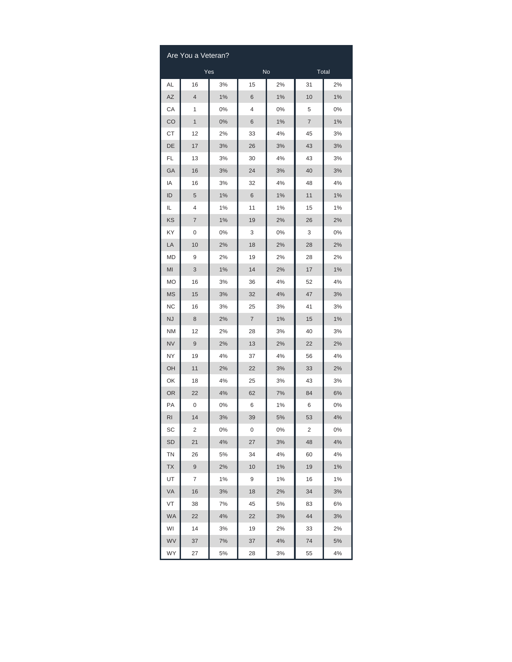|                        | Are You a Veteran? |     |       |           |                |    |
|------------------------|--------------------|-----|-------|-----------|----------------|----|
|                        |                    | Yes |       | <b>No</b> | Total          |    |
| AL                     | 16                 | 3%  | 15    | 2%        | 31             | 2% |
| $\mathsf{A}\mathsf{Z}$ | 4                  | 1%  | 6     | 1%        | 10             | 1% |
| CA                     | 1                  | 0%  | 4     | 0%        | 5              | 0% |
| CO                     | 1                  | 0%  | 6     | 1%        | $\overline{7}$ | 1% |
| СT                     | 12                 | 2%  | 33    | 4%        | 45             | 3% |
| DE                     | 17                 | 3%  | 26    | 3%        | 43             | 3% |
| FL                     | 13                 | 3%  | 30    | 4%        | 43             | 3% |
| GA                     | 16                 | 3%  | 24    | 3%        | 40             | 3% |
| IA                     | 16                 | 3%  | 32    | 4%        | 48             | 4% |
| ID                     | 5                  | 1%  | $6\,$ | 1%        | 11             | 1% |
| IL                     | 4                  | 1%  | 11    | 1%        | 15             | 1% |
| KS                     | 7                  | 1%  | 19    | 2%        | 26             | 2% |
| KY                     | 0                  | 0%  | 3     | 0%        | 3              | 0% |
| LA                     | 10                 | 2%  | 18    | 2%        | 28             | 2% |
| MD                     | 9                  | 2%  | 19    | 2%        | 28             | 2% |
| MI                     | 3                  | 1%  | 14    | 2%        | 17             | 1% |
| MO                     | 16                 | 3%  | 36    | 4%        | 52             | 4% |
| <b>MS</b>              | 15                 | 3%  | 32    | 4%        | 47             | 3% |
| <b>NC</b>              | 16                 | 3%  | 25    | 3%        | 41             | 3% |
| NJ                     | 8                  | 2%  | 7     | 1%        | 15             | 1% |
| <b>NM</b>              | 12                 | 2%  | 28    | 3%        | 40             | 3% |
| <b>NV</b>              | 9                  | 2%  | 13    | 2%        | 22             | 2% |
| NY                     | 19                 | 4%  | 37    | 4%        | 56             | 4% |
| OH                     | 11                 | 2%  | 22    | 3%        | 33             | 2% |
| OK                     | 18                 | 4%  | 25    | 3%        | 43             | 3% |
| <b>OR</b>              | 22                 | 4%  | 62    | 7%        | 84             | 6% |
| PA                     | 0                  | 0%  | 6     | 1%        | 6              | 0% |
| RI                     | 14                 | 3%  | 39    | 5%        | 53             | 4% |
| SC                     | 2                  | 0%  | 0     | 0%        | 2              | 0% |
| <b>SD</b>              | 21                 | 4%  | 27    | 3%        | 48             | 4% |
| ΤN                     | 26                 | 5%  | 34    | 4%        | 60             | 4% |
| <b>TX</b>              | 9                  | 2%  | 10    | $1\%$     | 19             | 1% |
| UT                     | 7                  | 1%  | 9     | 1%        | 16             | 1% |
| VA                     | 16                 | 3%  | 18    | 2%        | 34             | 3% |
| VT                     | 38                 | 7%  | 45    | 5%        | 83             | 6% |
| <b>WA</b>              | 22                 | 4%  | 22    | 3%        | 44             | 3% |
| WI                     | 14                 | 3%  | 19    | 2%        | 33             | 2% |
| WV                     | 37                 | 7%  | 37    | 4%        | 74             | 5% |
| WY                     | 27                 | 5%  | 28    | 3%        | 55             | 4% |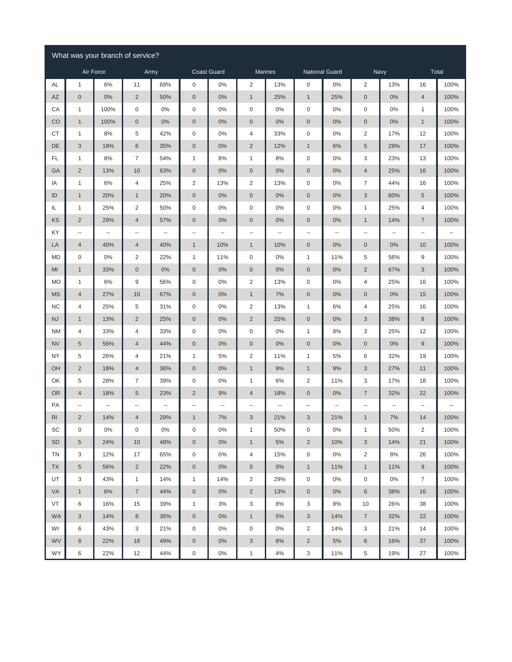|                |                           | What was your branch of service? |                          |                          |                         |                          |                           |         |                          |                       |                          |       |                  |       |
|----------------|---------------------------|----------------------------------|--------------------------|--------------------------|-------------------------|--------------------------|---------------------------|---------|--------------------------|-----------------------|--------------------------|-------|------------------|-------|
|                |                           | Air Force                        |                          | Army                     |                         | <b>Coast Guard</b>       |                           | Marines |                          | <b>National Guard</b> |                          | Navy  |                  | Total |
| AL             | $\mathbf{1}$              | 6%                               | 11                       | 69%                      | 0                       | $0\%$                    | $\overline{2}$            | 13%     | $\mathbf 0$              | 0%                    | $\overline{2}$           | 13%   | 16               | 100%  |
| <b>AZ</b>      | $\boldsymbol{0}$          | $0\%$                            | $\sqrt{2}$               | 50%                      | $\pmb{0}$               | $0\%$                    | $\mathbf{1}$              | 25%     | $\mathbf{1}$             | 25%                   | $\mathbf 0$              | 0%    | $\overline{4}$   | 100%  |
| CA             | $\mathbf{1}$              | 100%                             | $\mathsf{O}\xspace$      | $0\%$                    | 0                       | 0%                       | $\mathbf 0$               | 0%      | $\boldsymbol{0}$         | 0%                    | $\boldsymbol{0}$         | $0\%$ | $\mathbf{1}$     | 100%  |
| CO             | $\mathbf{1}$              | 100%                             | $\pmb{0}$                | 0%                       | $\pmb{0}$               | 0%                       | $\boldsymbol{0}$          | 0%      | $\bf 0$                  | $0\%$                 | $\mathbf 0$              | $0\%$ | $\mathbf{1}$     | 100%  |
| СT             | 1                         | 8%                               | $\,$ 5 $\,$              | 42%                      | 0                       | 0%                       | 4                         | 33%     | $\boldsymbol{0}$         | $0\%$                 | $\overline{2}$           | 17%   | 12               | 100%  |
| DE             | $\ensuremath{\mathsf{3}}$ | 18%                              | $\,6$                    | 35%                      | $\pmb{0}$               | $0\%$                    | $\overline{c}$            | 12%     | $\mathbf{1}$             | 6%                    | $\sqrt{5}$               | 29%   | 17               | 100%  |
| FL             | $\mathbf{1}$              | 8%                               | $\overline{7}$           | 54%                      | 1                       | 8%                       | 1                         | 8%      | $\boldsymbol{0}$         | 0%                    | 3                        | 23%   | 13               | 100%  |
| GA             | $\sqrt{2}$                | 13%                              | 10                       | 63%                      | $\pmb{0}$               | 0%                       | $\pmb{0}$                 | 0%      | $\bf 0$                  | 0%                    | $\overline{4}$           | 25%   | 16               | 100%  |
| ΙA             | $\mathbf{1}$              | 6%                               | $\overline{4}$           | 25%                      | $\overline{\mathbf{c}}$ | 13%                      | $\overline{2}$            | 13%     | $\boldsymbol{0}$         | $0\%$                 | $\boldsymbol{7}$         | 44%   | 16               | 100%  |
| ID             | $\mathbf{1}$              | 20%                              | $\mathbf{1}$             | 20%                      | $\pmb{0}$               | 0%                       | $\theta$                  | 0%      | $\bf 0$                  | 0%                    | $\sqrt{3}$               | 60%   | 5                | 100%  |
| IL             | 1                         | 25%                              | $\overline{\mathbf{c}}$  | 50%                      | 0                       | 0%                       | $\boldsymbol{0}$          | 0%      | $\boldsymbol{0}$         | $0\%$                 | $\mathbf{1}$             | 25%   | 4                | 100%  |
| KS             | $\sqrt{2}$                | 29%                              | $\overline{4}$           | 57%                      | $\boldsymbol{0}$        | $0\%$                    | $\mathbf 0$               | 0%      | $\bf 0$                  | $0\%$                 | $\mathbf{1}$             | 14%   | $\overline{7}$   | 100%  |
| KY             | ۰.                        | --                               | ٠.                       | $\overline{\phantom{a}}$ | --                      | $\overline{\phantom{a}}$ | $\overline{\phantom{a}}$  | ۰.      | $\ddotsc$                | --                    | $\overline{\phantom{a}}$ | --    | Ξ.               | --    |
| LA             | $\overline{4}$            | 40%                              | $\overline{4}$           | 40%                      | $\mathbf{1}$            | 10%                      | $\mathbf{1}$              | 10%     | $\bf 0$                  | 0%                    | $\mathsf{O}\xspace$      | $0\%$ | 10               | 100%  |
| MD             | $\boldsymbol{0}$          | 0%                               | $\overline{\mathbf{c}}$  | 22%                      | 1                       | 11%                      | $\boldsymbol{0}$          | 0%      | $\mathbf{1}$             | 11%                   | 5                        | 56%   | 9                | 100%  |
| MI             | $\mathbf{1}$              | 33%                              | $\mathbf 0$              | 0%                       | $\pmb{0}$               | $0\%$                    | $\boldsymbol{0}$          | 0%      | $\mathbf 0$              | $0\%$                 | $\overline{2}$           | 67%   | 3                | 100%  |
| <b>MO</b>      | 1                         | 6%                               | $\boldsymbol{9}$         | 56%                      | $\mathsf 0$             | $0\%$                    | $\overline{2}$            | 13%     | $\mathbf 0$              | 0%                    | $\overline{4}$           | 25%   | 16               | 100%  |
| <b>MS</b>      | $\overline{4}$            | 27%                              | 10                       | 67%                      | $\pmb{0}$               | $0\%$                    | $\mathbf{1}$              | 7%      | $\mathbf 0$              | 0%                    | $\mathsf{O}\xspace$      | $0\%$ | 15               | 100%  |
| <b>NC</b>      | 4                         | 25%                              | $\,$ 5 $\,$              | 31%                      | 0                       | $0\%$                    | $\overline{2}$            | 13%     | $\mathbf{1}$             | 6%                    | 4                        | 25%   | 16               | 100%  |
| <b>NJ</b>      | $\mathbf{1}$              | 13%                              | $\sqrt{2}$               | 25%                      | $\pmb{0}$               | $0\%$                    | $\sqrt{2}$                | 25%     | $\bf 0$                  | 0%                    | $\sqrt{3}$               | 38%   | 8                | 100%  |
| <b>NM</b>      | $\overline{\mathcal{A}}$  | 33%                              | $\overline{4}$           | 33%                      | 0                       | $0\%$                    | $\mathbf 0$               | 0%      | $\mathbf{1}$             | 8%                    | 3                        | 25%   | 12               | 100%  |
| <b>NV</b>      | 5                         | 56%                              | $\overline{4}$           | 44%                      | $\pmb{0}$               | 0%                       | $\boldsymbol{0}$          | 0%      | $\boldsymbol{0}$         | $0\%$                 | $\mathbf 0$              | $0\%$ | $\boldsymbol{9}$ | 100%  |
| <b>NY</b>      | 5                         | 26%                              | 4                        | 21%                      | 1                       | 5%                       | $\overline{\mathbf{c}}$   | 11%     | 1                        | 5%                    | 6                        | 32%   | 19               | 100%  |
| OH             | $\sqrt{2}$                | 18%                              | $\overline{4}$           | 36%                      | $\pmb{0}$               | $0\%$                    | $\mathbf{1}$              | 9%      | $\mathbf{1}$             | 9%                    | $\sqrt{3}$               | 27%   | 11               | 100%  |
| OK             | 5                         | 28%                              | $\boldsymbol{7}$         | 39%                      | $\mathsf 0$             | 0%                       | 1                         | 6%      | $\overline{2}$           | 11%                   | 3                        | 17%   | 18               | 100%  |
| <b>OR</b>      | $\overline{4}$            | 18%                              | $\sqrt{5}$               | 23%                      | $\overline{c}$          | 9%                       | 4                         | 18%     | $\boldsymbol{0}$         | 0%                    | $\overline{7}$           | 32%   | 22               | 100%  |
| PA             | ۰.                        | --                               | $\overline{\phantom{a}}$ | $\overline{\phantom{a}}$ | --                      | $\ddotsc$                | --                        | ۰.      | $\overline{\phantom{a}}$ | --                    | --                       | ۰.    | 4                | --    |
| R <sub>l</sub> | $\overline{2}$            | 14%                              | $\overline{4}$           | 29%                      | $\mathbf{1}$            | 7%                       | 3                         | 21%     | 3                        | 21%                   | 1                        | 7%    | 14               | 100%  |
| SC             | 0                         | $0\%$                            | $\pmb{0}$                | $0\%$                    | 0                       | 0%                       | $\mathbf{1}$              | 50%     | $\boldsymbol{0}$         | $0\%$                 | $\mathbf{1}$             | 50%   | $\overline{c}$   | 100%  |
| SD             | $\,$ 5 $\,$               | 24%                              | 10                       | 48%                      | $\mathbf 0$             | 0%                       | $\mathbf{1}$              | 5%      | $\sqrt{2}$               | 10%                   | $\sqrt{3}$               | 14%   | 21               | 100%  |
| <b>TN</b>      | 3                         | 12%                              | 17                       | 65%                      | 0                       | 0%                       | 4                         | 15%     | $\mathsf{O}\xspace$      | 0%                    | $\overline{2}$           | 8%    | 26               | 100%  |
| <b>TX</b>      | $\,$ 5 $\,$               | 56%                              | $\overline{2}$           | 22%                      | $\mathbf 0$             | 0%                       | $\mathbf 0$               | $0\%$   | $\mathbf{1}$             | 11%                   | $\mathbf{1}$             | 11%   | $\,9$            | 100%  |
| UT             | 3                         | 43%                              | $\mathbf{1}$             | 14%                      | $\mathbf{1}$            | 14%                      | $\overline{2}$            | 29%     | $\mathsf{O}\xspace$      | 0%                    | $\boldsymbol{0}$         | $0\%$ | $\overline{7}$   | 100%  |
| VA             | $\mathbf{1}$              | 6%                               | $\overline{7}$           | 44%                      | $\mathsf{O}\xspace$     | 0%                       | $\overline{2}$            | 13%     | $\mathsf{O}\xspace$      | $0\%$                 | $\,6\,$                  | 38%   | 16               | 100%  |
| VT             | 6                         | 16%                              | 15                       | 39%                      | $\mathbf{1}$            | 3%                       | 3                         | 8%      | 3                        | 8%                    | 10                       | 26%   | 38               | 100%  |
| WA             | 3                         | 14%                              | $\,8\,$                  | 36%                      | $\mathsf{O}\xspace$     | 0%                       | $\mathbf{1}$              | 5%      | 3                        | 14%                   | $\overline{7}$           | 32%   | 22               | 100%  |
| WI             | 6                         | 43%                              | 3                        | 21%                      | 0                       | 0%                       | $\mathbf 0$               | 0%      | $\overline{2}$           | 14%                   | 3                        | 21%   | 14               | 100%  |
| WV             | $\,8\,$                   | 22%                              | 18                       | 49%                      | $\mathbf 0$             | $0\%$                    | $\ensuremath{\mathsf{3}}$ | 8%      | $\overline{2}$           | 5%                    | $\,6\,$                  | 16%   | 37               | 100%  |
| WY             | 6                         | 22%                              | 12                       | 44%                      | $\mathsf 0$             | $0\%$                    | $\mathbf{1}$              | $4\%$   | $\sqrt{3}$               | 11%                   | $\,$ 5 $\,$              | 19%   | $27\,$           | 100%  |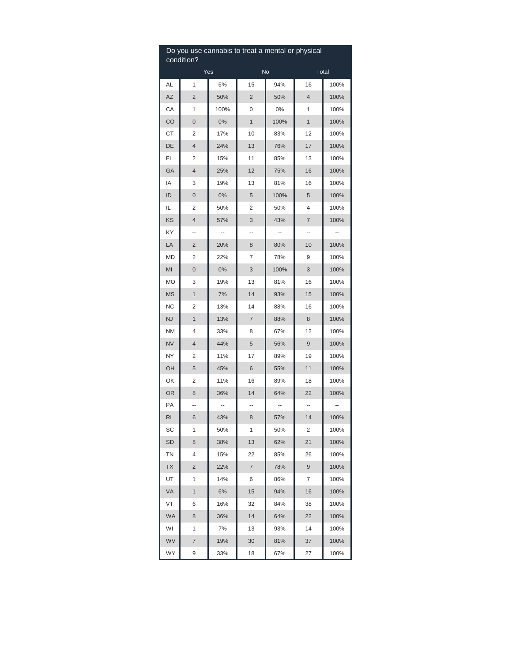|           | Do you use cannabis to treat a mental or physical<br>condition? |       |                |           |                |      |
|-----------|-----------------------------------------------------------------|-------|----------------|-----------|----------------|------|
|           |                                                                 | Yes   |                | <b>No</b> | Total          |      |
| AL        | 1                                                               | 6%    | 15             | 94%       | 16             | 100% |
| AZ        | 2                                                               | 50%   | $\overline{c}$ | 50%       | $\overline{4}$ | 100% |
| СA        | 1                                                               | 100%  | 0              | 0%        | 1              | 100% |
| CO        | 0                                                               | 0%    | 1              | 100%      | $\mathbf{1}$   | 100% |
| СT        | 2                                                               | 17%   | 10             | 83%       | 12             | 100% |
| DE        | 4                                                               | 24%   | 13             | 76%       | 17             | 100% |
| FL        | 2                                                               | 15%   | 11             | 85%       | 13             | 100% |
| GA        | $\overline{4}$                                                  | 25%   | 12             | 75%       | 16             | 100% |
| ΙA        | 3                                                               | 19%   | 13             | 81%       | 16             | 100% |
| ID        | 0                                                               | $0\%$ | 5              | 100%      | 5              | 100% |
| IL        | 2                                                               | 50%   | 2              | 50%       | 4              | 100% |
| KS        | 4                                                               | 57%   | 3              | 43%       | $\overline{7}$ | 100% |
| ΚY        | --                                                              | ۰.    | --             | ۰.        | --             | --   |
| LA        | 2                                                               | 20%   | 8              | 80%       | 10             | 100% |
| MD        | 2                                                               | 22%   | 7              | 78%       | 9              | 100% |
| MI        | 0                                                               | 0%    | 3              | 100%      | 3              | 100% |
| MO        | 3                                                               | 19%   | 13             | 81%       | 16             | 100% |
| <b>MS</b> | 1                                                               | 7%    | 14             | 93%       | 15             | 100% |
| <b>NC</b> | 2                                                               | 13%   | 14             | 88%       | 16             | 100% |
| <b>NJ</b> | $\overline{1}$                                                  | 13%   | 7              | 88%       | 8              | 100% |
| <b>NM</b> | 4                                                               | 33%   | 8              | 67%       | 12             | 100% |
| <b>NV</b> | 4                                                               | 44%   | 5              | 56%       | 9              | 100% |
| NΥ        | 2                                                               | 11%   | 17             | 89%       | 19             | 100% |
| OH        | 5                                                               | 45%   | 6              | 55%       | 11             | 100% |
| OK        | 2                                                               | 11%   | 16             | 89%       | 18             | 100% |
| 0R        | 8                                                               | 36%   | 14             | 64%       | 22             | 100% |
| PA        |                                                                 |       |                |           |                |      |
| RI        | 6                                                               | 43%   | 8              | 57%       | 14             | 100% |
| SC        | 1                                                               | 50%   | 1              | 50%       | 2              | 100% |
| SD        | 8                                                               | 38%   | 13             | 62%       | 21             | 100% |
| ΤN        | 4                                                               | 15%   | 22             | 85%       | 26             | 100% |
| ТX        | 2                                                               | 22%   | 7              | 78%       | 9              | 100% |
| UT        | 1                                                               | 14%   | 6              | 86%       | 7              | 100% |
| VA        | 1                                                               | 6%    | 15             | 94%       | 16             | 100% |
| VT        | 6                                                               | 16%   | 32             | 84%       | 38             | 100% |
| <b>WA</b> | 8                                                               | 36%   | 14             | 64%       | 22             | 100% |
| WI        | 1                                                               | 7%    | 13             | 93%       | 14             | 100% |
| WV        | 7                                                               | 19%   | 30             | 81%       | 37             | 100% |
| WY        | 9                                                               | 33%   | 18             | 67%       | 27             | 100% |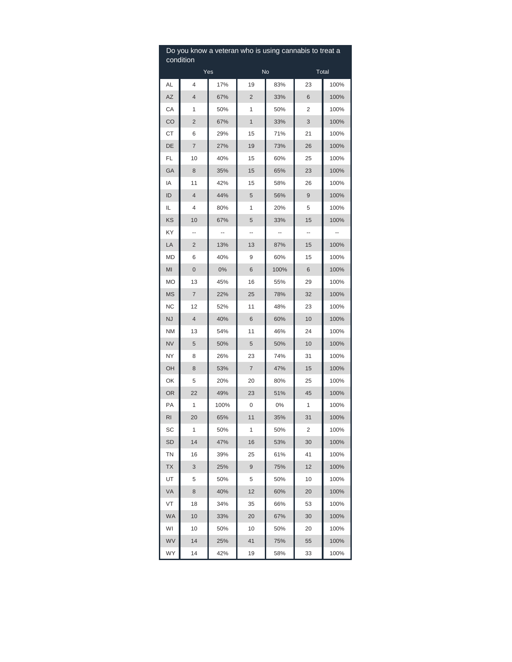| Do you know a veteran who is using cannabis to treat a<br>condition |                |      |                |      |       |      |  |  |  |
|---------------------------------------------------------------------|----------------|------|----------------|------|-------|------|--|--|--|
|                                                                     |                | Yes  |                | No   | Total |      |  |  |  |
| AL                                                                  | 4              | 17%  | 19             | 83%  | 23    | 100% |  |  |  |
| AZ                                                                  | 4              | 67%  | $\overline{2}$ | 33%  | 6     | 100% |  |  |  |
| СA                                                                  | 1              | 50%  | 1              | 50%  | 2     | 100% |  |  |  |
| CO                                                                  | 2              | 67%  | 1              | 33%  | 3     | 100% |  |  |  |
| СT                                                                  | 6              | 29%  | 15             | 71%  | 21    | 100% |  |  |  |
| DE                                                                  | 7              | 27%  | 19             | 73%  | 26    | 100% |  |  |  |
| FL                                                                  | 10             | 40%  | 15             | 60%  | 25    | 100% |  |  |  |
| GА                                                                  | 8              | 35%  | 15             | 65%  | 23    | 100% |  |  |  |
| ΙA                                                                  | 11             | 42%  | 15             | 58%  | 26    | 100% |  |  |  |
| ID                                                                  | 4              | 44%  | 5              | 56%  | 9     | 100% |  |  |  |
| IL                                                                  | 4              | 80%  | 1              | 20%  | 5     | 100% |  |  |  |
| KS                                                                  | 10             | 67%  | 5              | 33%  | 15    | 100% |  |  |  |
| ΚY                                                                  | --             | --   | --             | --   | --    |      |  |  |  |
| LA                                                                  | 2              | 13%  | 13             | 87%  | 15    | 100% |  |  |  |
| MD                                                                  | 6              | 40%  | 9              | 60%  | 15    | 100% |  |  |  |
| MI                                                                  | 0              | 0%   | 6              | 100% | 6     | 100% |  |  |  |
| MO                                                                  | 13             | 45%  | 16             | 55%  | 29    | 100% |  |  |  |
| <b>MS</b>                                                           | $\overline{7}$ | 22%  | 25             | 78%  | 32    | 100% |  |  |  |
| NC                                                                  | 12             | 52%  | 11             | 48%  | 23    | 100% |  |  |  |
| <b>NJ</b>                                                           | 4              | 40%  | 6              | 60%  | 10    | 100% |  |  |  |
| NM                                                                  | 13             | 54%  | 11             | 46%  | 24    | 100% |  |  |  |
| <b>NV</b>                                                           | 5              | 50%  | 5              | 50%  | 10    | 100% |  |  |  |
| NΥ                                                                  | 8              | 26%  | 23             | 74%  | 31    | 100% |  |  |  |
| OН                                                                  | 8              | 53%  | 7              | 47%  | 15    | 100% |  |  |  |
| OK                                                                  | 5              | 20%  | 20             | 80%  | 25    | 100% |  |  |  |
| <b>OR</b>                                                           | 22             | 49%  | 23             | 51%  | 45    | 100% |  |  |  |
| PA                                                                  | 1              | 100% | 0              | 0%   | 1     | 100% |  |  |  |
| RI                                                                  | 20             | 65%  | 11             | 35%  | 31    | 100% |  |  |  |
| SC                                                                  | 1              | 50%  | 1              | 50%  | 2     | 100% |  |  |  |
| SD                                                                  | 14             | 47%  | 16             | 53%  | 30    | 100% |  |  |  |
| ΤN                                                                  | 16             | 39%  | 25             | 61%  | 41    | 100% |  |  |  |
| ТX                                                                  | 3              | 25%  | 9              | 75%  | 12    | 100% |  |  |  |
| UT                                                                  | 5              | 50%  | 5              | 50%  | 10    | 100% |  |  |  |
| VA                                                                  | 8              | 40%  | 12             | 60%  | 20    | 100% |  |  |  |
| VT                                                                  | 18             | 34%  | 35             | 66%  | 53    | 100% |  |  |  |
| <b>WA</b>                                                           | 10             | 33%  | 20             | 67%  | 30    | 100% |  |  |  |
| WI                                                                  | 10             | 50%  | 10             | 50%  | 20    | 100% |  |  |  |
| WV                                                                  | 14             | 25%  | 41             | 75%  | 55    | 100% |  |  |  |
| WY                                                                  | 14             | 42%  | 19             | 58%  | 33    | 100% |  |  |  |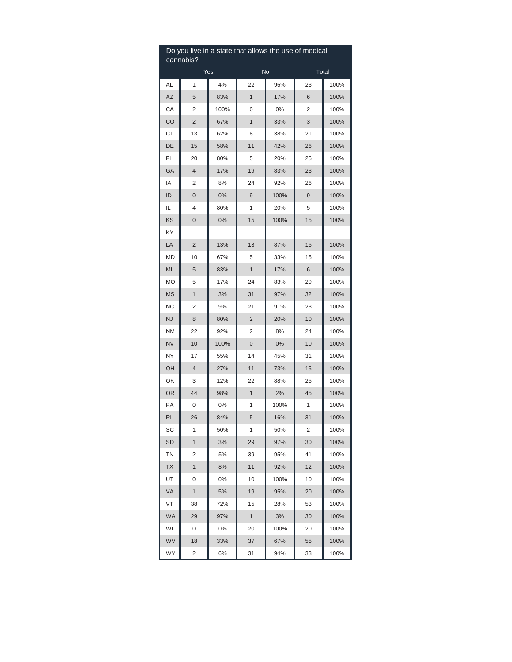| Do you live in a state that allows the use of medical<br>cannabis? |                |      |                |      |       |      |  |  |
|--------------------------------------------------------------------|----------------|------|----------------|------|-------|------|--|--|
| Yes                                                                |                |      |                | No   | Total |      |  |  |
| AL                                                                 | 1              | 4%   | 22             | 96%  | 23    | 100% |  |  |
| AZ                                                                 | 5              | 83%  | $\mathbf{1}$   | 17%  | 6     | 100% |  |  |
| CA                                                                 | 2              | 100% | 0              | 0%   | 2     | 100% |  |  |
| CO                                                                 | 2              | 67%  | 1              | 33%  | 3     | 100% |  |  |
| СT                                                                 | 13             | 62%  | 8              | 38%  | 21    | 100% |  |  |
| DE                                                                 | 15             | 58%  | 11             | 42%  | 26    | 100% |  |  |
| FL                                                                 | 20             | 80%  | 5              | 20%  | 25    | 100% |  |  |
| GA                                                                 | $\overline{4}$ | 17%  | 19             | 83%  | 23    | 100% |  |  |
| ΙA                                                                 | 2              | 8%   | 24             | 92%  | 26    | 100% |  |  |
| ID                                                                 | 0              | 0%   | 9              | 100% | 9     | 100% |  |  |
| IL                                                                 | 4              | 80%  | 1              | 20%  | 5     | 100% |  |  |
| KS                                                                 | 0              | 0%   | 15             | 100% | 15    | 100% |  |  |
| ΚY                                                                 | --             | ۰.   | --             | ۰.   | --    |      |  |  |
| LA                                                                 | $\overline{c}$ | 13%  | 13             | 87%  | 15    | 100% |  |  |
| MD                                                                 | 10             | 67%  | 5              | 33%  | 15    | 100% |  |  |
| MI                                                                 | 5              | 83%  | $\mathbf{1}$   | 17%  | 6     | 100% |  |  |
| МO                                                                 | 5              | 17%  | 24             | 83%  | 29    | 100% |  |  |
| <b>MS</b>                                                          | 1              | 3%   | 31             | 97%  | 32    | 100% |  |  |
| NC                                                                 | 2              | 9%   | 21             | 91%  | 23    | 100% |  |  |
| <b>NJ</b>                                                          | 8              | 80%  | $\overline{2}$ | 20%  | 10    | 100% |  |  |
| <b>NM</b>                                                          | 22             | 92%  | 2              | 8%   | 24    | 100% |  |  |
| <b>NV</b>                                                          | 10             | 100% | 0              | 0%   | 10    | 100% |  |  |
| NΥ                                                                 | 17             | 55%  | 14             | 45%  | 31    | 100% |  |  |
| OН                                                                 | 4              | 27%  | 11             | 73%  | 15    | 100% |  |  |
| OK                                                                 | 3              | 12%  | 22             | 88%  | 25    | 100% |  |  |
| <b>OR</b>                                                          | 44             | 98%  | 1              | 2%   | 45    | 100% |  |  |
| PA                                                                 | 0              | 0%   | 1              | 100% | 1     | 100% |  |  |
| RI                                                                 | 26             | 84%  | 5              | 16%  | 31    | 100% |  |  |
| SC                                                                 | 1              | 50%  | 1              | 50%  | 2     | 100% |  |  |
| SD                                                                 | 1              | 3%   | 29             | 97%  | 30    | 100% |  |  |
| ΤN                                                                 | 2              | 5%   | 39             | 95%  | 41    | 100% |  |  |
| ТX                                                                 | 1              | 8%   | 11             | 92%  | 12    | 100% |  |  |
| UT                                                                 | 0              | 0%   | 10             | 100% | 10    | 100% |  |  |
| VA                                                                 | $\mathbf{1}$   | 5%   | 19             | 95%  | 20    | 100% |  |  |
| VT                                                                 | 38             | 72%  | 15             | 28%  | 53    | 100% |  |  |
| <b>WA</b>                                                          | 29             | 97%  | $\mathbf{1}$   | 3%   | 30    | 100% |  |  |
| WI                                                                 | 0              | 0%   | 20             | 100% | 20    | 100% |  |  |
| WV                                                                 | 18             | 33%  | 37             | 67%  | 55    | 100% |  |  |
| WY                                                                 | 2              | 6%   | 31             | 94%  | 33    | 100% |  |  |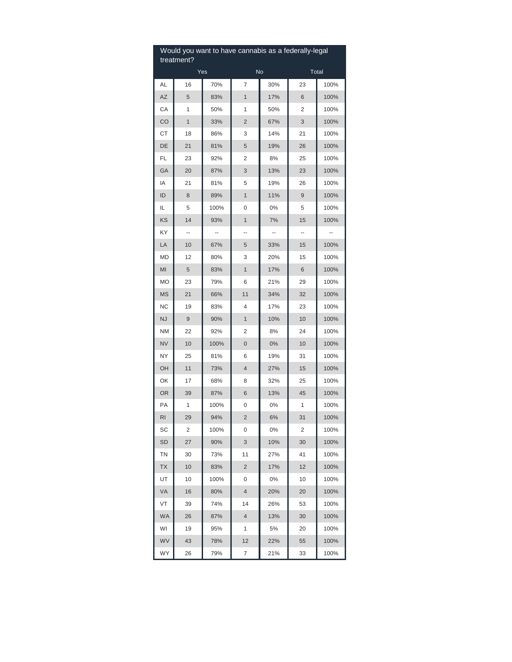| Would you want to have cannabis as a federally-legal<br>treatment? |    |      |                |                        |       |      |  |  |
|--------------------------------------------------------------------|----|------|----------------|------------------------|-------|------|--|--|
|                                                                    |    | Yes  |                | $\overline{\text{No}}$ | Total |      |  |  |
| AL                                                                 | 16 | 70%  | 7              | 30%                    | 23    | 100% |  |  |
| AZ                                                                 | 5  | 83%  | 1              | 17%                    | 6     | 100% |  |  |
| СA                                                                 | 1  | 50%  | 1              | 50%                    | 2     | 100% |  |  |
| CO                                                                 | 1  | 33%  | 2              | 67%                    | 3     | 100% |  |  |
| СT                                                                 | 18 | 86%  | 3              | 14%                    | 21    | 100% |  |  |
| DE                                                                 | 21 | 81%  | 5              | 19%                    | 26    | 100% |  |  |
| FL                                                                 | 23 | 92%  | 2              | 8%                     | 25    | 100% |  |  |
| GA                                                                 | 20 | 87%  | 3              | 13%                    | 23    | 100% |  |  |
| ΙA                                                                 | 21 | 81%  | 5              | 19%                    | 26    | 100% |  |  |
| ID                                                                 | 8  | 89%  | 1              | 11%                    | 9     | 100% |  |  |
| IL                                                                 | 5  | 100% | 0              | 0%                     | 5     | 100% |  |  |
| KS                                                                 | 14 | 93%  | $\mathbf{1}$   | 7%                     | 15    | 100% |  |  |
| KY                                                                 | -- | ۰.   | --             | ۰.                     | --    | --   |  |  |
| LA                                                                 | 10 | 67%  | 5              | 33%                    | 15    | 100% |  |  |
| MD                                                                 | 12 | 80%  | 3              | 20%                    | 15    | 100% |  |  |
| MI                                                                 | 5  | 83%  | $\mathbf{1}$   | 17%                    | 6     | 100% |  |  |
| МO                                                                 | 23 | 79%  | 6              | 21%                    | 29    | 100% |  |  |
| <b>MS</b>                                                          | 21 | 66%  | 11             | 34%                    | 32    | 100% |  |  |
| <b>NC</b>                                                          | 19 | 83%  | 4              | 17%                    | 23    | 100% |  |  |
| <b>NJ</b>                                                          | 9  | 90%  | $\mathbf{1}$   | 10%                    | 10    | 100% |  |  |
| <b>NM</b>                                                          | 22 | 92%  | 2              | 8%                     | 24    | 100% |  |  |
| <b>NV</b>                                                          | 10 | 100% | $\mathbf 0$    | $0\%$                  | 10    | 100% |  |  |
| ΝY                                                                 | 25 | 81%  | 6              | 19%                    | 31    | 100% |  |  |
| OH                                                                 | 11 | 73%  | $\overline{4}$ | 27%                    | 15    | 100% |  |  |
| OK                                                                 | 17 | 68%  | 8              | 32%                    | 25    | 100% |  |  |
| <b>OR</b>                                                          | 39 | 87%  | 6              | 13%                    | 45    | 100% |  |  |
| РA                                                                 | 1  | 100% | 0              | 0%                     | 1     | 100% |  |  |
| <b>RI</b>                                                          | 29 | 94%  | $\overline{2}$ | 6%                     | 31    | 100% |  |  |
| SC                                                                 | 2  | 100% | 0              | $0\%$                  | 2     | 100% |  |  |
| SD                                                                 | 27 | 90%  | 3              | 10%                    | 30    | 100% |  |  |
| ΤN                                                                 | 30 | 73%  | 11             | 27%                    | 41    | 100% |  |  |
| ТX                                                                 | 10 | 83%  | 2              | 17%                    | 12    | 100% |  |  |
| UT                                                                 | 10 | 100% | 0              | 0%                     | 10    | 100% |  |  |
| VA                                                                 | 16 | 80%  | 4              | 20%                    | 20    | 100% |  |  |
| VT                                                                 | 39 | 74%  | 14             | 26%                    | 53    | 100% |  |  |
| WA                                                                 | 26 | 87%  | 4              | 13%                    | 30    | 100% |  |  |
| WI                                                                 | 19 | 95%  | 1              | 5%                     | 20    | 100% |  |  |
| WV                                                                 | 43 | 78%  | 12             | 22%                    | 55    | 100% |  |  |
| WY                                                                 | 26 | 79%  | 7              | 21%                    | 33    | 100% |  |  |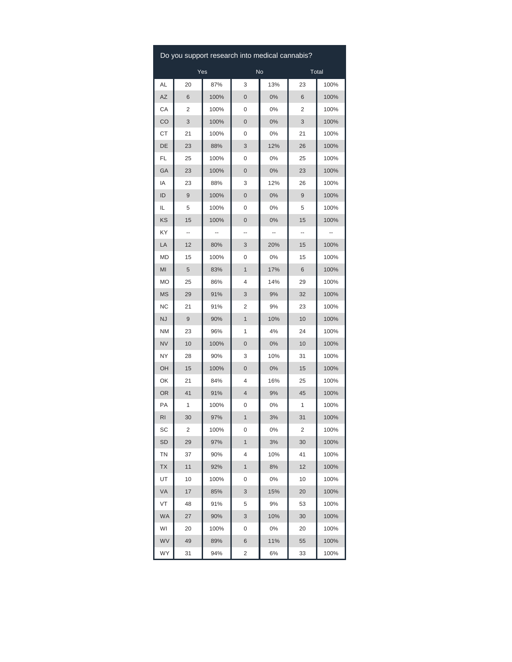| Do you support research into medical cannabis? |    |      |              |       |    |      |  |  |
|------------------------------------------------|----|------|--------------|-------|----|------|--|--|
| Yes<br>No<br>Total                             |    |      |              |       |    |      |  |  |
| AL                                             | 20 | 87%  | 3            | 13%   | 23 | 100% |  |  |
| AZ                                             | 6  | 100% | 0            | 0%    | 6  | 100% |  |  |
| СA                                             | 2  | 100% | 0            | 0%    | 2  | 100% |  |  |
| CO                                             | 3  | 100% | 0            | 0%    | 3  | 100% |  |  |
| СT                                             | 21 | 100% | 0            | 0%    | 21 | 100% |  |  |
| DE                                             | 23 | 88%  | 3            | 12%   | 26 | 100% |  |  |
| FL                                             | 25 | 100% | 0            | 0%    | 25 | 100% |  |  |
| GA                                             | 23 | 100% | 0            | $0\%$ | 23 | 100% |  |  |
| ΙA                                             | 23 | 88%  | 3            | 12%   | 26 | 100% |  |  |
| ID                                             | 9  | 100% | 0            | 0%    | 9  | 100% |  |  |
| IL                                             | 5  | 100% | 0            | 0%    | 5  | 100% |  |  |
| KS                                             | 15 | 100% | 0            | 0%    | 15 | 100% |  |  |
| KY                                             | -- |      | --           | --    | -- |      |  |  |
| LA                                             | 12 | 80%  | 3            | 20%   | 15 | 100% |  |  |
| MD                                             | 15 | 100% | 0            | 0%    | 15 | 100% |  |  |
| MI                                             | 5  | 83%  | 1            | 17%   | 6  | 100% |  |  |
| МO                                             | 25 | 86%  | 4            | 14%   | 29 | 100% |  |  |
| ΜS                                             | 29 | 91%  | 3            | 9%    | 32 | 100% |  |  |
| NC                                             | 21 | 91%  | 2            | 9%    | 23 | 100% |  |  |
| NJ                                             | 9  | 90%  | $\mathbf{1}$ | 10%   | 10 | 100% |  |  |
| ΝM                                             | 23 | 96%  | 1            | 4%    | 24 | 100% |  |  |
| <b>NV</b>                                      | 10 | 100% | 0            | 0%    | 10 | 100% |  |  |
| NY                                             | 28 | 90%  | 3            | 10%   | 31 | 100% |  |  |
| OН                                             | 15 | 100% | 0            | 0%    | 15 | 100% |  |  |
| OK                                             | 21 | 84%  | 4            | 16%   | 25 | 100% |  |  |
| <b>OR</b>                                      | 41 | 91%  | 4            | 9%    | 45 | 100% |  |  |
| PA                                             | 1  | 100% | 0            | 0%    | 1  | 100% |  |  |
| RI                                             | 30 | 97%  | 1            | 3%    | 31 | 100% |  |  |
| SC                                             | 2  | 100% | 0            | 0%    | 2  | 100% |  |  |
| SD                                             | 29 | 97%  | 1            | 3%    | 30 | 100% |  |  |
| ΤN                                             | 37 | 90%  | 4            | 10%   | 41 | 100% |  |  |
| ТX                                             | 11 | 92%  | 1            | 8%    | 12 | 100% |  |  |
| UT                                             | 10 | 100% | 0            | 0%    | 10 | 100% |  |  |
| VA                                             | 17 | 85%  | 3            | 15%   | 20 | 100% |  |  |
| VT                                             | 48 | 91%  | 5            | 9%    | 53 | 100% |  |  |
| <b>WA</b>                                      | 27 | 90%  | 3            | 10%   | 30 | 100% |  |  |
| WI                                             | 20 | 100% | 0            | 0%    | 20 | 100% |  |  |
| WV                                             | 49 | 89%  | 6            | 11%   | 55 | 100% |  |  |
| WY                                             | 31 | 94%  | 2            | 6%    | 33 | 100% |  |  |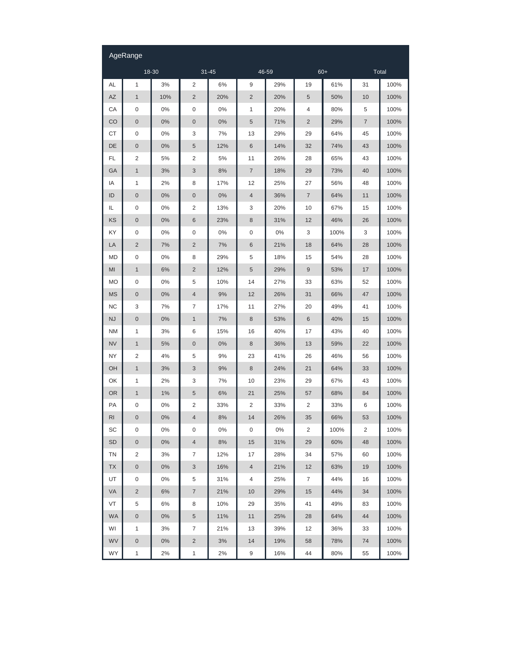|                | AgeRange         |       |                  |       |                          |       |                  |      |                |      |
|----------------|------------------|-------|------------------|-------|--------------------------|-------|------------------|------|----------------|------|
|                | 18-30            |       | $31 - 45$        |       | 46-59                    |       | $60+$            |      | Total          |      |
| AL             | 1                | 3%    | $\overline{2}$   | 6%    | 9                        | 29%   | 19               | 61%  | 31             | 100% |
| <b>AZ</b>      | $\mathbf{1}$     | 10%   | $\overline{c}$   | 20%   | $\overline{c}$           | 20%   | 5                | 50%  | 10             | 100% |
| CA             | 0                | $0\%$ | 0                | 0%    | $\mathbf{1}$             | 20%   | 4                | 80%  | 5              | 100% |
| CO             | $\boldsymbol{0}$ | $0\%$ | $\boldsymbol{0}$ | 0%    | 5                        | 71%   | $\overline{c}$   | 29%  | $\overline{7}$ | 100% |
| СT             | 0                | $0\%$ | 3                | 7%    | 13                       | 29%   | 29               | 64%  | 45             | 100% |
| DE             | $\boldsymbol{0}$ | $0\%$ | 5                | 12%   | 6                        | 14%   | 32               | 74%  | 43             | 100% |
| FL             | $\overline{2}$   | 5%    | $\overline{2}$   | 5%    | 11                       | 26%   | 28               | 65%  | 43             | 100% |
| GA             | $\mathbf{1}$     | 3%    | 3                | 8%    | $\overline{\mathcal{I}}$ | 18%   | 29               | 73%  | 40             | 100% |
| ΙA             | 1                | 2%    | 8                | 17%   | 12                       | 25%   | 27               | 56%  | 48             | 100% |
| ID             | $\boldsymbol{0}$ | 0%    | $\boldsymbol{0}$ | 0%    | $\overline{4}$           | 36%   | $\overline{7}$   | 64%  | 11             | 100% |
| IL             | 0                | 0%    | 2                | 13%   | 3                        | 20%   | 10               | 67%  | 15             | 100% |
| KS             | $\boldsymbol{0}$ | 0%    | 6                | 23%   | 8                        | 31%   | 12               | 46%  | 26             | 100% |
| KY             | 0                | $0\%$ | 0                | 0%    | 0                        | 0%    | 3                | 100% | 3              | 100% |
| LA             | $\overline{c}$   | 7%    | $\overline{c}$   | 7%    | 6                        | 21%   | 18               | 64%  | 28             | 100% |
| MD             | 0                | $0\%$ | 8                | 29%   | 5                        | 18%   | 15               | 54%  | 28             | 100% |
| MI             | $\mathbf{1}$     | 6%    | $\overline{c}$   | 12%   | 5                        | 29%   | $\boldsymbol{9}$ | 53%  | 17             | 100% |
| <b>MO</b>      | 0                | 0%    | 5                | 10%   | 14                       | 27%   | 33               | 63%  | 52             | 100% |
| <b>MS</b>      | $\boldsymbol{0}$ | $0\%$ | $\overline{4}$   | 9%    | 12                       | 26%   | 31               | 66%  | 47             | 100% |
| <b>NC</b>      | 3                | 7%    | 7                | 17%   | 11                       | 27%   | 20               | 49%  | 41             | 100% |
| <b>NJ</b>      | $\mathbf 0$      | 0%    | $\mathbf{1}$     | 7%    | $\,8\,$                  | 53%   | 6                | 40%  | 15             | 100% |
| <b>NM</b>      | 1                | 3%    | 6                | 15%   | 16                       | 40%   | 17               | 43%  | 40             | 100% |
| <b>NV</b>      | $\mathbf{1}$     | 5%    | $\pmb{0}$        | 0%    | 8                        | 36%   | 13               | 59%  | 22             | 100% |
| NY             | 2                | 4%    | 5                | 9%    | 23                       | 41%   | 26               | 46%  | 56             | 100% |
| OH             | $\mathbf{1}$     | 3%    | 3                | 9%    | $\,8\,$                  | 24%   | 21               | 64%  | 33             | 100% |
| OK             | 1                | 2%    | 3                | 7%    | 10                       | 23%   | 29               | 67%  | 43             | 100% |
| <b>OR</b>      | $\mathbf{1}$     | 1%    | 5                | $6%$  | 21                       | 25%   | 57               | 68%  | 84             | 100% |
| PA             | 0                | 0%    | 2                | 33%   | $\overline{2}$           | 33%   | 2                | 33%  | 6              | 100% |
| R <sub>l</sub> | $\mathbf 0$      | $0\%$ | $\overline{4}$   | $8%$  | 14                       | 26%   | 35               | 66%  | 53             | 100% |
| SC             | 0                | $0\%$ | 0                | $0\%$ | 0                        | $0\%$ | 2                | 100% | 2              | 100% |
| <b>SD</b>      | $\pmb{0}$        | $0\%$ | 4                | 8%    | 15                       | 31%   | 29               | 60%  | 48             | 100% |
| TN             | 2                | 3%    | 7                | 12%   | 17                       | 28%   | 34               | 57%  | 60             | 100% |
| <b>TX</b>      | $\pmb{0}$        | $0\%$ | 3                | 16%   | 4                        | 21%   | 12               | 63%  | 19             | 100% |
| UT             | 0                | 0%    | 5                | 31%   | 4                        | 25%   | 7                | 44%  | 16             | 100% |
| VA             | $\overline{2}$   | 6%    | 7                | 21%   | 10                       | 29%   | 15               | 44%  | 34             | 100% |
| VT             | 5                | 6%    | 8                | 10%   | 29                       | 35%   | 41               | 49%  | 83             | 100% |
| <b>WA</b>      | $\pmb{0}$        | 0%    | 5                | 11%   | 11                       | 25%   | 28               | 64%  | 44             | 100% |
| WI             | 1                | 3%    | 7                | 21%   | 13                       | 39%   | 12               | 36%  | 33             | 100% |
| <b>WV</b>      | $\pmb{0}$        | $0\%$ | $\overline{c}$   | $3%$  | 14                       | 19%   | 58               | 78%  | 74             | 100% |
| WY             | $\mathbf{1}$     | 2%    | $\mathbf{1}$     | 2%    | 9                        | 16%   | 44               | 80%  | 55             | 100% |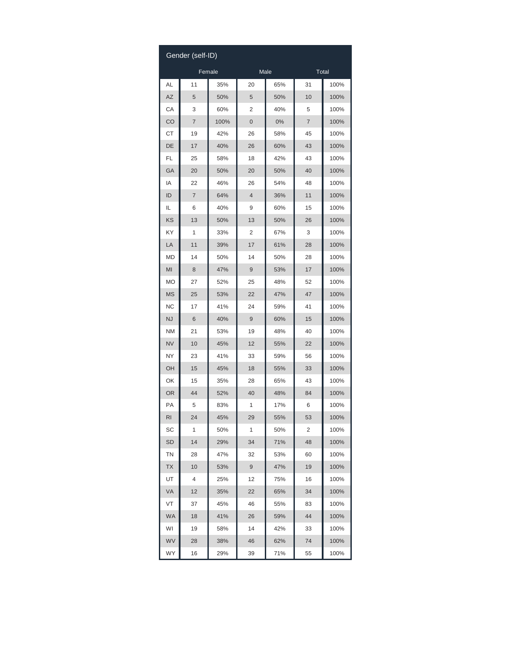| Gender (self-ID) |        |      |    |       |       |      |  |  |
|------------------|--------|------|----|-------|-------|------|--|--|
|                  | Female |      |    | Male  | Total |      |  |  |
| AL               | 11     | 35%  | 20 | 65%   | 31    | 100% |  |  |
| AZ               | 5      | 50%  | 5  | 50%   | 10    | 100% |  |  |
| СA               | 3      | 60%  | 2  | 40%   | 5     | 100% |  |  |
| CO               | 7      | 100% | 0  | $0\%$ | 7     | 100% |  |  |
| СT               | 19     | 42%  | 26 | 58%   | 45    | 100% |  |  |
| DE               | 17     | 40%  | 26 | 60%   | 43    | 100% |  |  |
| FL               | 25     | 58%  | 18 | 42%   | 43    | 100% |  |  |
| GА               | 20     | 50%  | 20 | 50%   | 40    | 100% |  |  |
| ΙA               | 22     | 46%  | 26 | 54%   | 48    | 100% |  |  |
| ID               | 7      | 64%  | 4  | 36%   | 11    | 100% |  |  |
| IL               | 6      | 40%  | 9  | 60%   | 15    | 100% |  |  |
| KS               | 13     | 50%  | 13 | 50%   | 26    | 100% |  |  |
| ΚY               | 1      | 33%  | 2  | 67%   | 3     | 100% |  |  |
| LA               | 11     | 39%  | 17 | 61%   | 28    | 100% |  |  |
| MD               | 14     | 50%  | 14 | 50%   | 28    | 100% |  |  |
| MI               | 8      | 47%  | 9  | 53%   | 17    | 100% |  |  |
| МO               | 27     | 52%  | 25 | 48%   | 52    | 100% |  |  |
| MS               | 25     | 53%  | 22 | 47%   | 47    | 100% |  |  |
| NC               | 17     | 41%  | 24 | 59%   | 41    | 100% |  |  |
| <b>NJ</b>        | 6      | 40%  | 9  | 60%   | 15    | 100% |  |  |
| ΝM               | 21     | 53%  | 19 | 48%   | 40    | 100% |  |  |
| <b>NV</b>        | 10     | 45%  | 12 | 55%   | 22    | 100% |  |  |
| NΥ               | 23     | 41%  | 33 | 59%   | 56    | 100% |  |  |
| ОH               | 15     | 45%  | 18 | 55%   | 33    | 100% |  |  |
| ΟK               | 15     | 35%  | 28 | 65%   | 43    | 100% |  |  |
| OR               | 44     | 52%  | 40 | 48%   | 84    | 100% |  |  |
| РA               | 5      | 83%  | 1  | 17%   | 6     | 100% |  |  |
| RI               | 24     | 45%  | 29 | 55%   | 53    | 100% |  |  |
| SC               | 1      | 50%  | 1  | 50%   | 2     | 100% |  |  |
| SD               | 14     | 29%  | 34 | 71%   | 48    | 100% |  |  |
| ΤN               | 28     | 47%  | 32 | 53%   | 60    | 100% |  |  |
| TX               | 10     | 53%  | 9  | 47%   | 19    | 100% |  |  |
| UT               | 4      | 25%  | 12 | 75%   | 16    | 100% |  |  |
| VA               | 12     | 35%  | 22 | 65%   | 34    | 100% |  |  |
| VT               | 37     | 45%  | 46 | 55%   | 83    | 100% |  |  |
| WA               | 18     | 41%  | 26 | 59%   | 44    | 100% |  |  |
| WI               | 19     | 58%  | 14 | 42%   | 33    | 100% |  |  |
| WV               | 28     | 38%  | 46 | 62%   | 74    | 100% |  |  |
| WY               | 16     | 29%  | 39 | 71%   | 55    | 100% |  |  |